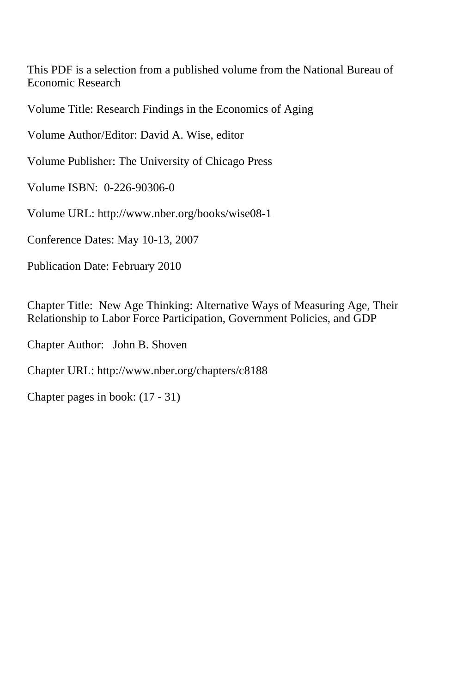This PDF is a selection from a published volume from the National Bureau of Economic Research

Volume Title: Research Findings in the Economics of Aging

Volume Author/Editor: David A. Wise, editor

Volume Publisher: The University of Chicago Press

Volume ISBN: 0-226-90306-0

Volume URL: http://www.nber.org/books/wise08-1

Conference Dates: May 10-13, 2007

Publication Date: February 2010

Chapter Title: New Age Thinking: Alternative Ways of Measuring Age, Their Relationship to Labor Force Participation, Government Policies, and GDP

Chapter Author: John B. Shoven

Chapter URL: http://www.nber.org/chapters/c8188

Chapter pages in book: (17 - 31)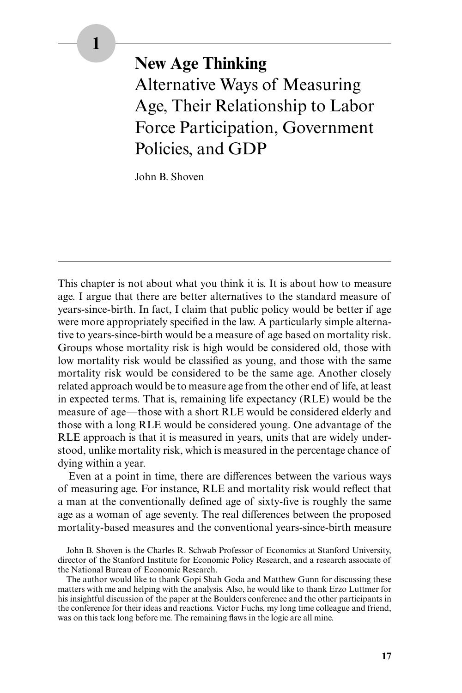# **New Age Thinking** Alternative Ways of Measuring Age, Their Relationship to Labor Force Participation, Government Policies, and GDP

John B. Shoven

This chapter is not about what you think it is. It is about how to measure age. I argue that there are better alternatives to the standard measure of years- since- birth. In fact, I claim that public policy would be better if age were more appropriately specified in the law. A particularly simple alternative to years- since- birth would be a measure of age based on mortality risk. Groups whose mortality risk is high would be considered old, those with low mortality risk would be classified as young, and those with the same mortality risk would be considered to be the same age. Another closely related approach would be to measure age from the other end of life, at least in expected terms. That is, remaining life expectancy (RLE) would be the measure of age—those with a short RLE would be considered elderly and those with a long RLE would be considered young. One advantage of the RLE approach is that it is measured in years, units that are widely understood, unlike mortality risk, which is measured in the percentage chance of dying within a year.

Even at a point in time, there are differences between the various ways of measuring age. For instance, RLE and mortality risk would reflect that a man at the conventionally defined age of sixty-five is roughly the same age as a woman of age seventy. The real differences between the proposed mortality-based measures and the conventional years-since-birth measure

John B. Shoven is the Charles R. Schwab Professor of Economics at Stanford University, director of the Stanford Institute for Economic Policy Research, and a research associate of the National Bureau of Economic Research.

The author would like to thank Gopi Shah Goda and Matthew Gunn for discussing these matters with me and helping with the analysis. Also, he would like to thank Erzo Luttmer for his insightful discussion of the paper at the Boulders conference and the other participants in the conference for their ideas and reactions. Victor Fuchs, my long time colleague and friend, was on this tack long before me. The remaining flaws in the logic are all mine.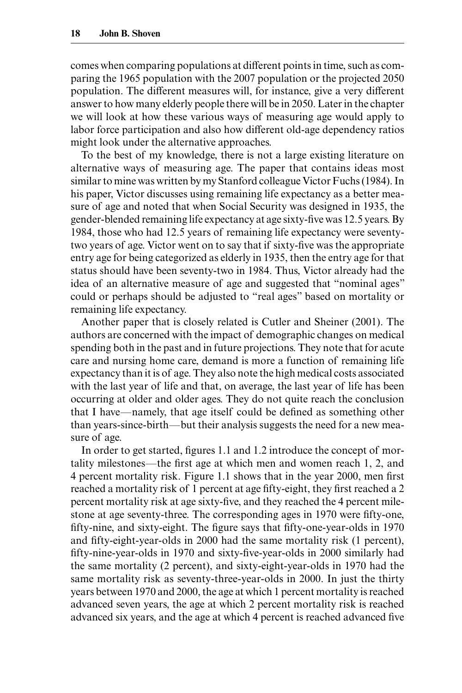comes when comparing populations at different points in time, such as comparing the 1965 population with the 2007 population or the projected 2050 population. The different measures will, for instance, give a very different answer to how many elderly people there will be in 2050. Later in the chapter we will look at how these various ways of measuring age would apply to labor force participation and also how different old-age dependency ratios might look under the alternative approaches.

To the best of my knowledge, there is not a large existing literature on alternative ways of measuring age. The paper that contains ideas most similar to mine was written by my Stanford colleague Victor Fuchs (1984). In his paper, Victor discusses using remaining life expectancy as a better measure of age and noted that when Social Security was designed in 1935, the gender-blended remaining life expectancy at age sixty-five was 12.5 years. By 1984, those who had 12.5 years of remaining life expectancy were seventy two years of age. Victor went on to say that if sixty-five was the appropriate entry age for being categorized as elderly in 1935, then the entry age for that status should have been seventy-two in 1984. Thus, Victor already had the idea of an alternative measure of age and suggested that "nominal ages" could or perhaps should be adjusted to "real ages" based on mortality or remaining life expectancy.

Another paper that is closely related is Cutler and Sheiner (2001). The authors are concerned with the impact of demographic changes on medical spending both in the past and in future projections. They note that for acute care and nursing home care, demand is more a function of remaining life expectancy than it is of age. They also note the high medical costs associated with the last year of life and that, on average, the last year of life has been occurring at older and older ages. They do not quite reach the conclusion that I have—namely, that age itself could be defined as something other than years- since- birth—but their analysis suggests the need for a new measure of age.

In order to get started, figures 1.1 and 1.2 introduce the concept of mortality milestones—the first age at which men and women reach 1, 2, and 4 percent mortality risk. Figure 1.1 shows that in the year 2000, men first reached a mortality risk of 1 percent at age fifty-eight, they first reached a 2 percent mortality risk at age sixty-five, and they reached the 4 percent milestone at age seventy-three. The corresponding ages in 1970 were fifty-one, fifty-nine, and sixty-eight. The figure says that fifty-one-year-olds in 1970 and fifty-eight-year-olds in 2000 had the same mortality risk (1 percent), fifty-nine-year-olds in 1970 and sixty-five-year-olds in 2000 similarly had the same mortality (2 percent), and sixty-eight-year-olds in 1970 had the same mortality risk as seventy-three-year-olds in 2000. In just the thirty years between 1970 and 2000, the age at which 1 percent mortality is reached advanced seven years, the age at which 2 percent mortality risk is reached advanced six years, and the age at which 4 percent is reached advanced five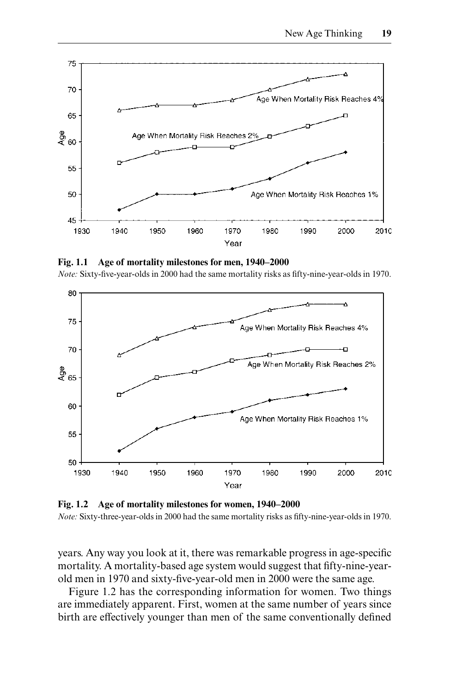

**Fig. 1.1 Age of mortality milestones for men, 1940– 2000**

*Note:* Sixty-five-year-olds in 2000 had the same mortality risks as fifty-nine-year-olds in 1970.



Fig. 1.2 Age of mortality milestones for women, 1940–2000 *Note:* Sixty-three-year-olds in 2000 had the same mortality risks as fifty-nine-year-olds in 1970.

years. Any way you look at it, there was remarkable progress in age-specific mortality. A mortality-based age system would suggest that fifty-nine-yearold men in 1970 and sixty-five-year-old men in 2000 were the same age.

Figure 1.2 has the corresponding information for women. Two things are immediately apparent. First, women at the same number of years since birth are effectively younger than men of the same conventionally defined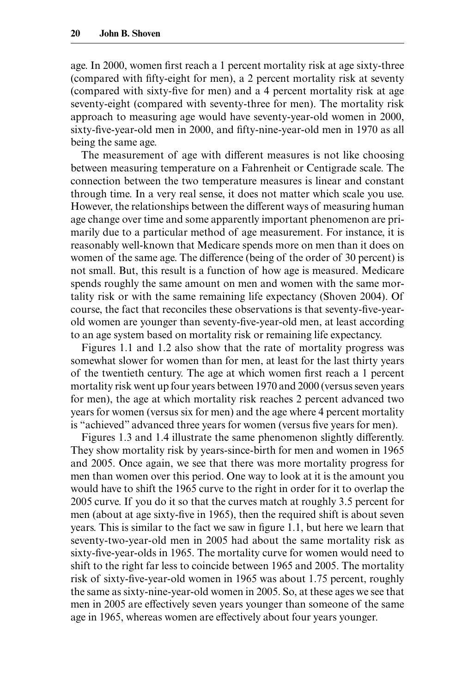age. In 2000, women first reach a 1 percent mortality risk at age sixty-three (compared with fifty-eight for men), a 2 percent mortality risk at seventy (compared with sixty-five for men) and a 4 percent mortality risk at age seventy-eight (compared with seventy-three for men). The mortality risk approach to measuring age would have seventy- year- old women in 2000, sixty-five-year-old men in 2000, and fifty-nine-year-old men in 1970 as all being the same age.

The measurement of age with different measures is not like choosing between measuring temperature on a Fahrenheit or Centigrade scale. The connection between the two temperature measures is linear and constant through time. In a very real sense, it does not matter which scale you use. However, the relationships between the different ways of measuring human age change over time and some apparently important phenomenon are primarily due to a particular method of age measurement. For instance, it is reasonably well-known that Medicare spends more on men than it does on women of the same age. The difference (being of the order of 30 percent) is not small. But, this result is a function of how age is measured. Medicare spends roughly the same amount on men and women with the same mortality risk or with the same remaining life expectancy (Shoven 2004). Of course, the fact that reconciles these observations is that seventy-five-yearold women are younger than seventy-five-year-old men, at least according to an age system based on mortality risk or remaining life expectancy.

Figures 1.1 and 1.2 also show that the rate of mortality progress was somewhat slower for women than for men, at least for the last thirty years of the twentieth century. The age at which women first reach a 1 percent mortality risk went up four years between 1970 and 2000 (versus seven years for men), the age at which mortality risk reaches 2 percent advanced two years for women (versus six for men) and the age where 4 percent mortality is "achieved" advanced three years for women (versus five years for men).

Figures 1.3 and 1.4 illustrate the same phenomenon slightly differently. They show mortality risk by years-since-birth for men and women in 1965 and 2005. Once again, we see that there was more mortality progress for men than women over this period. One way to look at it is the amount you would have to shift the 1965 curve to the right in order for it to overlap the 2005 curve. If you do it so that the curves match at roughly 3.5 percent for men (about at age sixty-five in 1965), then the required shift is about seven years. This is similar to the fact we saw in figure 1.1, but here we learn that seventy-two-year-old men in 2005 had about the same mortality risk as sixty-five-year-olds in 1965. The mortality curve for women would need to shift to the right far less to coincide between 1965 and 2005. The mortality risk of sixty-five-year-old women in 1965 was about 1.75 percent, roughly the same as sixty- nine- year- old women in 2005. So, at these ages we see that men in 2005 are effectively seven years younger than someone of the same age in 1965, whereas women are effectively about four years younger.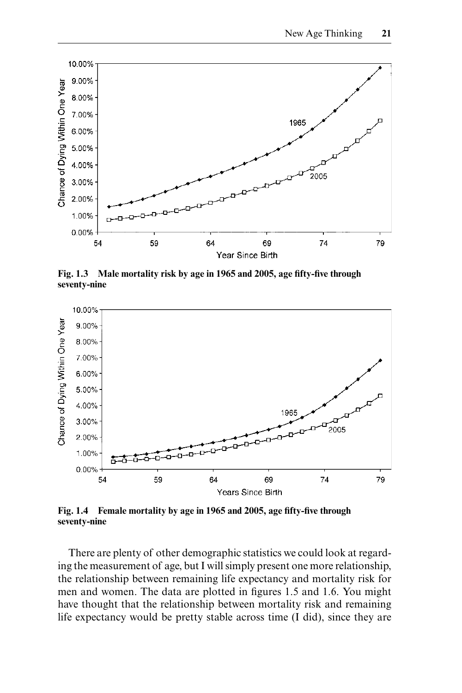

Fig. 1.3 Male mortality risk by age in 1965 and 2005, age fifty-five through **seventy- nine**



Fig. 1.4 Female mortality by age in 1965 and 2005, age fifty-five through **seventy- nine**

There are plenty of other demographic statistics we could look at regarding the measurement of age, but I will simply present one more relationship, the relationship between remaining life expectancy and mortality risk for men and women. The data are plotted in figures 1.5 and 1.6. You might have thought that the relationship between mortality risk and remaining life expectancy would be pretty stable across time (I did), since they are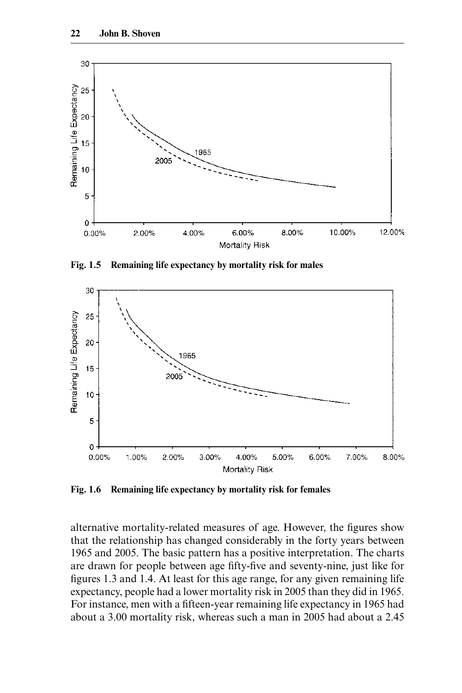

**Fig. 1.5 Remaining life expectancy by mortality risk for males**



**Fig. 1.6 Remaining life expectancy by mortality risk for females**

alternative mortality-related measures of age. However, the figures show that the relationship has changed considerably in the forty years between 1965 and 2005. The basic pattern has a positive interpretation. The charts are drawn for people between age fifty-five and seventy-nine, just like for figures 1.3 and 1.4. At least for this age range, for any given remaining life expectancy, people had a lower mortality risk in 2005 than they did in 1965. For instance, men with a fifteen-year remaining life expectancy in 1965 had about a 3.00 mortality risk, whereas such a man in 2005 had about a 2.45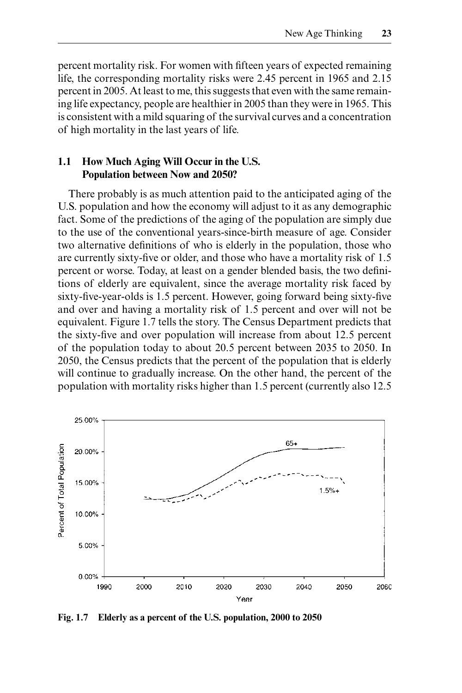percent mortality risk. For women with fifteen years of expected remaining life, the corresponding mortality risks were 2.45 percent in 1965 and 2.15 percent in 2005. At least to me, this suggests that even with the same remaining life expectancy, people are healthier in 2005 than they were in 1965. This is consistent with a mild squaring of the survival curves and a concentration of high mortality in the last years of life.

### **1.1 How Much Aging Will Occur in the U.S. Population between Now and 2050?**

There probably is as much attention paid to the anticipated aging of the U.S. population and how the economy will adjust to it as any demographic fact. Some of the predictions of the aging of the population are simply due to the use of the conventional years- since- birth measure of age. Consider two alternative definitions of who is elderly in the population, those who are currently sixty-five or older, and those who have a mortality risk of 1.5 percent or worse. Today, at least on a gender blended basis, the two definitions of elderly are equivalent, since the average mortality risk faced by sixty-five-year-olds is 1.5 percent. However, going forward being sixty-five and over and having a mortality risk of 1.5 percent and over will not be equivalent. Figure 1.7 tells the story. The Census Department predicts that the sixty-five and over population will increase from about 12.5 percent of the population today to about 20.5 percent between 2035 to 2050. In 2050, the Census predicts that the percent of the population that is elderly will continue to gradually increase. On the other hand, the percent of the population with mortality risks higher than 1.5 percent (currently also 12.5



**Fig. 1.7 Elderly as a percent of the U.S. population, 2000 to 2050**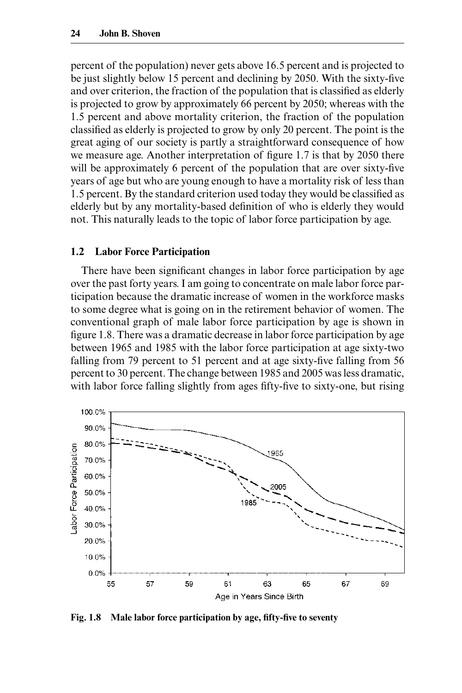percent of the population) never gets above 16.5 percent and is projected to be just slightly below 15 percent and declining by 2050. With the sixty-five and over criterion, the fraction of the population that is classified as elderly is projected to grow by approximately 66 percent by 2050; whereas with the 1.5 percent and above mortality criterion, the fraction of the population classified as elderly is projected to grow by only 20 percent. The point is the great aging of our society is partly a straightforward consequence of how we measure age. Another interpretation of figure 1.7 is that by 2050 there will be approximately 6 percent of the population that are over sixty-five years of age but who are young enough to have a mortality risk of less than 1.5 percent. By the standard criterion used today they would be classified as elderly but by any mortality-based definition of who is elderly they would not. This naturally leads to the topic of labor force participation by age.

#### **1.2 Labor Force Participation**

There have been significant changes in labor force participation by age over the past forty years. I am going to concentrate on male labor force participation because the dramatic increase of women in the workforce masks to some degree what is going on in the retirement behavior of women. The conventional graph of male labor force participation by age is shown in figure 1.8. There was a dramatic decrease in labor force participation by age between 1965 and 1985 with the labor force participation at age sixty-two falling from 79 percent to 51 percent and at age sixty-five falling from 56 percent to 30 percent. The change between 1985 and 2005 was less dramatic, with labor force falling slightly from ages fifty-five to sixty-one, but rising



Fig. 1.8 Male labor force participation by age, fifty-five to seventy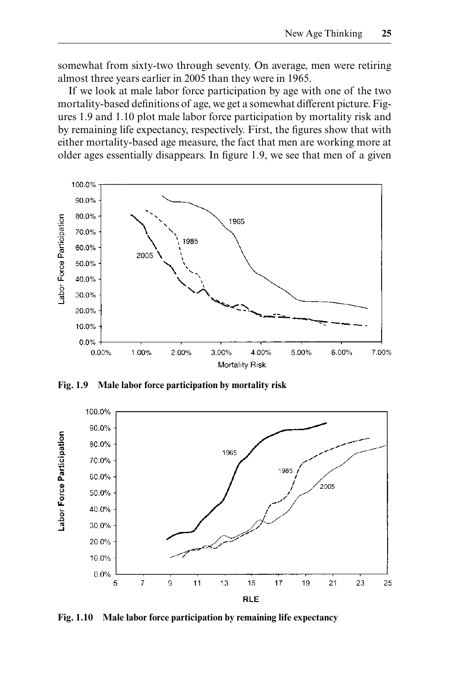somewhat from sixty-two through seventy. On average, men were retiring almost three years earlier in 2005 than they were in 1965.

If we look at male labor force participation by age with one of the two mortality-based definitions of age, we get a somewhat different picture. Figures 1.9 and 1.10 plot male labor force participation by mortality risk and by remaining life expectancy, respectively. First, the figures show that with either mortality- based age measure, the fact that men are working more at older ages essentially disappears. In figure 1.9, we see that men of a given



**Fig. 1.9 Male labor force participation by mortality risk**



**Fig. 1.10 Male labor force participation by remaining life expectancy**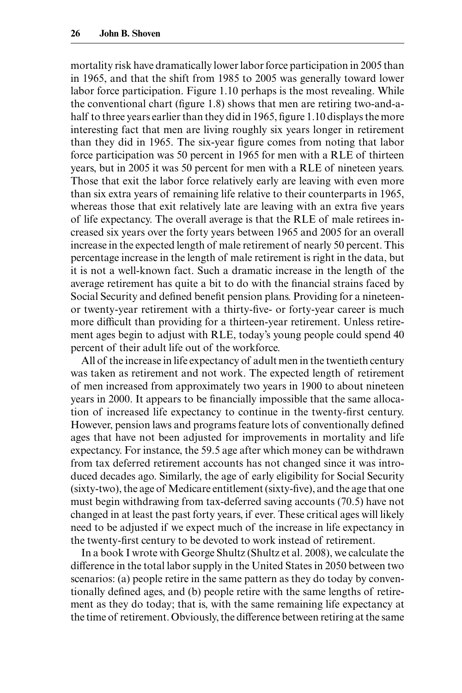mortality risk have dramatically lower labor force participation in 2005 than in 1965, and that the shift from 1985 to 2005 was generally toward lower labor force participation. Figure 1.10 perhaps is the most revealing. While the conventional chart (figure 1.8) shows that men are retiring two-and-ahalf to three years earlier than they did in 1965, figure 1.10 displays the more interesting fact that men are living roughly six years longer in retirement than they did in 1965. The six-year figure comes from noting that labor force participation was 50 percent in 1965 for men with a RLE of thirteen years, but in 2005 it was 50 percent for men with a RLE of nineteen years. Those that exit the labor force relatively early are leaving with even more than six extra years of remaining life relative to their counterparts in 1965, whereas those that exit relatively late are leaving with an extra five years of life expectancy. The overall average is that the RLE of male retirees increased six years over the forty years between 1965 and 2005 for an overall increase in the expected length of male retirement of nearly 50 percent. This percentage increase in the length of male retirement is right in the data, but it is not a well-known fact. Such a dramatic increase in the length of the average retirement has quite a bit to do with the financial strains faced by Social Security and defined benefit pension plans. Providing for a nineteenor twenty-year retirement with a thirty-five- or forty-year career is much more difficult than providing for a thirteen- year retirement. Unless retirement ages begin to adjust with RLE, today's young people could spend 40 percent of their adult life out of the workforce.

All of the increase in life expectancy of adult men in the twentieth century was taken as retirement and not work. The expected length of retirement of men increased from approximately two years in 1900 to about nineteen years in 2000. It appears to be financially impossible that the same allocation of increased life expectancy to continue in the twenty-first century. However, pension laws and programs feature lots of conventionally defined ages that have not been adjusted for improvements in mortality and life expectancy. For instance, the 59.5 age after which money can be withdrawn from tax deferred retirement accounts has not changed since it was introduced decades ago. Similarly, the age of early eligibility for Social Security (sixty-two), the age of Medicare entitlement (sixty-five), and the age that one must begin withdrawing from tax- deferred saving accounts (70.5) have not changed in at least the past forty years, if ever. These critical ages will likely need to be adjusted if we expect much of the increase in life expectancy in the twenty-first century to be devoted to work instead of retirement.

In a book I wrote with George Shultz (Shultz et al. 2008), we calculate the difference in the total labor supply in the United States in 2050 between two scenarios: (a) people retire in the same pattern as they do today by conventionally defined ages, and (b) people retire with the same lengths of retirement as they do today; that is, with the same remaining life expectancy at the time of retirement. Obviously, the difference between retiring at the same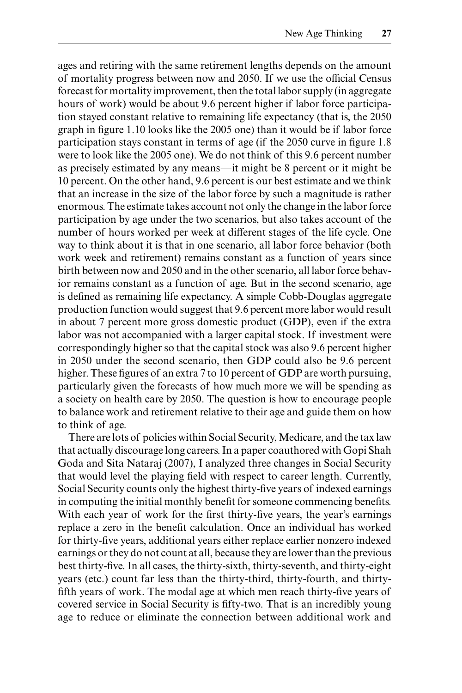ages and retiring with the same retirement lengths depends on the amount of mortality progress between now and 2050. If we use the official Census forecast for mortality improvement, then the total labor supply (in aggregate hours of work) would be about 9.6 percent higher if labor force participation stayed constant relative to remaining life expectancy (that is, the 2050 graph in figure  $1.10$  looks like the 2005 one) than it would be if labor force participation stays constant in terms of age (if the 2050 curve in figure 1.8) were to look like the 2005 one). We do not think of this 9.6 percent number as precisely estimated by any means—it might be 8 percent or it might be 10 percent. On the other hand, 9.6 percent is our best estimate and we think that an increase in the size of the labor force by such a magnitude is rather enormous. The estimate takes account not only the change in the labor force participation by age under the two scenarios, but also takes account of the number of hours worked per week at different stages of the life cycle. One way to think about it is that in one scenario, all labor force behavior (both work week and retirement) remains constant as a function of years since birth between now and 2050 and in the other scenario, all labor force behavior remains constant as a function of age. But in the second scenario, age is defined as remaining life expectancy. A simple Cobb-Douglas aggregate production function would suggest that 9.6 percent more labor would result in about 7 percent more gross domestic product (GDP), even if the extra labor was not accompanied with a larger capital stock. If investment were correspondingly higher so that the capital stock was also 9.6 percent higher in 2050 under the second scenario, then GDP could also be 9.6 percent higher. These figures of an extra 7 to 10 percent of GDP are worth pursuing, particularly given the forecasts of how much more we will be spending as a society on health care by 2050. The question is how to encourage people to balance work and retirement relative to their age and guide them on how to think of age.

There are lots of policies within Social Security, Medicare, and the tax law that actually discourage long careers. In a paper coauthored with Gopi Shah Goda and Sita Nataraj (2007), I analyzed three changes in Social Security that would level the playing field with respect to career length. Currently, Social Security counts only the highest thirty-five years of indexed earnings in computing the initial monthly benefit for someone commencing benefits. With each year of work for the first thirty-five years, the year's earnings replace a zero in the benefit calculation. Once an individual has worked for thirty-five years, additional years either replace earlier nonzero indexed earnings or they do not count at all, because they are lower than the previous best thirty-five. In all cases, the thirty-sixth, thirty-seventh, and thirty-eight years (etc.) count far less than the thirty- third, thirty- fourth, and thirty fifth years of work. The modal age at which men reach thirty-five years of covered service in Social Security is fifty-two. That is an incredibly young age to reduce or eliminate the connection between additional work and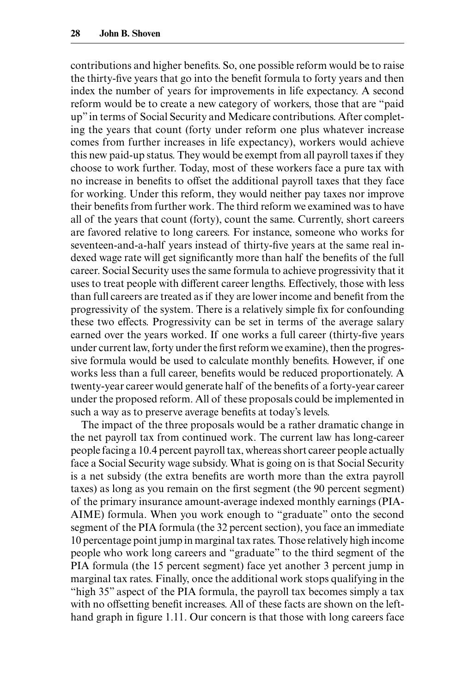contributions and higher benefits. So, one possible reform would be to raise the thirty-five years that go into the benefit formula to forty years and then index the number of years for improvements in life expectancy. A second reform would be to create a new category of workers, those that are "paid up" in terms of Social Security and Medicare contributions. After completing the years that count (forty under reform one plus whatever increase comes from further increases in life expectancy), workers would achieve this new paid- up status. They would be exempt from all payroll taxes if they choose to work further. Today, most of these workers face a pure tax with no increase in benefits to offset the additional payroll taxes that they face for working. Under this reform, they would neither pay taxes nor improve their benefits from further work. The third reform we examined was to have all of the years that count (forty), count the same. Currently, short careers are favored relative to long careers. For instance, someone who works for seventeen-and-a-half years instead of thirty-five years at the same real indexed wage rate will get significantly more than half the benefits of the full career. Social Security uses the same formula to achieve progressivity that it uses to treat people with different career lengths. Effectively, those with less than full careers are treated as if they are lower income and benefit from the progressivity of the system. There is a relatively simple fix for confounding these two effects. Progressivity can be set in terms of the average salary earned over the years worked. If one works a full career (thirty-five years under current law, forty under the first reform we examine), then the progressive formula would be used to calculate monthly benefits. However, if one works less than a full career, benefits would be reduced proportionately. A twenty-year career would generate half of the benefits of a forty-year career under the proposed reform. All of these proposals could be implemented in such a way as to preserve average benefits at today's levels.

The impact of the three proposals would be a rather dramatic change in the net payroll tax from continued work. The current law has long-career people facing a 10.4 percent payroll tax, whereas short career people actually face a Social Security wage subsidy. What is going on is that Social Security is a net subsidy (the extra benefits are worth more than the extra payroll taxes) as long as you remain on the first segment (the 90 percent segment) of the primary insurance amount- average indexed monthly earnings (PIA- AIME) formula. When you work enough to "graduate" onto the second segment of the PIA formula (the 32 percent section), you face an immediate 10 percentage point jump in marginal tax rates. Those relatively high income people who work long careers and "graduate" to the third segment of the PIA formula (the 15 percent segment) face yet another 3 percent jump in marginal tax rates. Finally, once the additional work stops qualifying in the "high 35" aspect of the PIA formula, the payroll tax becomes simply a tax with no offsetting benefit increases. All of these facts are shown on the lefthand graph in figure 1.11. Our concern is that those with long careers face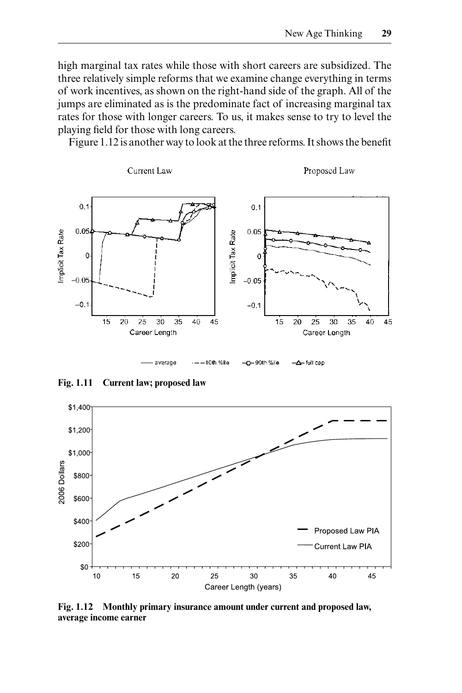high marginal tax rates while those with short careers are subsidized. The three relatively simple reforms that we examine change everything in terms of work incentives, as shown on the right- hand side of the graph. All of the jumps are eliminated as is the predominate fact of increasing marginal tax rates for those with longer careers. To us, it makes sense to try to level the playing field for those with long careers.

Figure 1.12 is another way to look at the three reforms. It shows the benefit



**Fig. 1.11 Current law; proposed law**



**Fig. 1.12 Monthly primary insurance amount under current and proposed law, average income earner**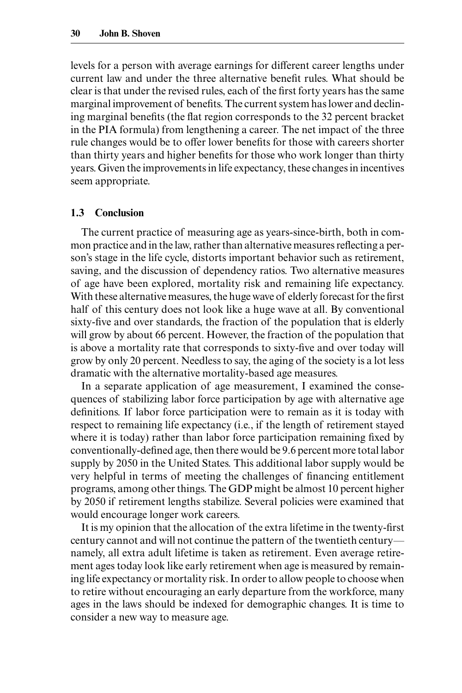levels for a person with average earnings for different career lengths under current law and under the three alternative benefit rules. What should be clear is that under the revised rules, each of the first forty years has the same marginal improvement of benefits. The current system has lower and declining marginal benefits (the flat region corresponds to the 32 percent bracket in the PIA formula) from lengthening a career. The net impact of the three rule changes would be to offer lower benefits for those with careers shorter than thirty years and higher benefits for those who work longer than thirty years. Given the improvements in life expectancy, these changes in incentives seem appropriate.

#### **1.3 Conclusion**

The current practice of measuring age as years- since- birth, both in common practice and in the law, rather than alternative measures reflecting a person's stage in the life cycle, distorts important behavior such as retirement, saving, and the discussion of dependency ratios. Two alternative measures of age have been explored, mortality risk and remaining life expectancy. With these alternative measures, the huge wave of elderly forecast for the first half of this century does not look like a huge wave at all. By conventional sixty-five and over standards, the fraction of the population that is elderly will grow by about 66 percent. However, the fraction of the population that is above a mortality rate that corresponds to sixty-five and over today will grow by only 20 percent. Needless to say, the aging of the society is a lot less dramatic with the alternative mortality- based age measures.

In a separate application of age measurement, I examined the consequences of stabilizing labor force participation by age with alternative age definitions. If labor force participation were to remain as it is today with respect to remaining life expectancy (i.e., if the length of retirement stayed where it is today) rather than labor force participation remaining fixed by conventionally-defined age, then there would be 9.6 percent more total labor supply by 2050 in the United States. This additional labor supply would be very helpful in terms of meeting the challenges of financing entitlement programs, among other things. The GDP might be almost 10 percent higher by 2050 if retirement lengths stabilize. Several policies were examined that would encourage longer work careers.

It is my opinion that the allocation of the extra lifetime in the twenty-first century cannot and will not continue the pattern of the twentieth century namely, all extra adult lifetime is taken as retirement. Even average retirement ages today look like early retirement when age is measured by remaining life expectancy or mortality risk. In order to allow people to choose when to retire without encouraging an early departure from the workforce, many ages in the laws should be indexed for demographic changes. It is time to consider a new way to measure age.